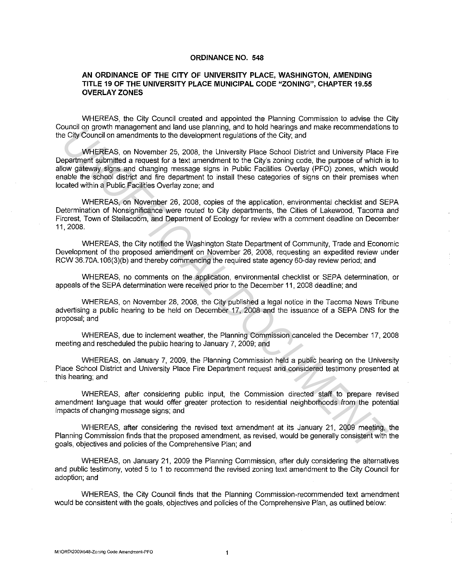#### **ORDINANCE NO. 548**

#### **AN ORDINANCE OF THE CITY OF UNIVERSITY PLACE, WASHINGTON, AMENDING TITLE 19 OF THE UNIVERSITY PLACE MUNICIPAL CODE "ZONING", CHAPTER 19.55 OVERLAY ZONES**

WHEREAS, the City Council created and appointed the Planning Commission to advise the City Council on growth management and land use planning, and to hold hearings and make recommendations to the City Council on amendments to the development regulations of the City; and

WHEREAS, on November 25, 2008. the University Place School District and University Place Fire Department submitted a request for a text amendment to the City's zoning code, the purpose of which is to allow gateway signs and changing message signs in Public Facilities Overlay (PFO) zones, which would enable the school district and fire department to install these categories of signs on their premises when located within a Public Facilities Overlay zone; and onion of prowint management and take plaining, anto to hoo nearings and make recommendators of the City, and<br>
UNHEREAS, on November 25, 2008, the University Place School District and University Place F<br>
DV Council on a mem

WHEREAS, on November 26, 2008, copies of the application, environmental checklist and SEPA Determination of Nonsignificance were routed to City departments, the Cities of Lakewood, Tacoma and Fircrest, Town of Steilacoom, and Department of Ecology for review with a comment deadline on December 11, 2008.

WHEREAS, the City notified the Washington State Department of Community, Trade and Economic Development of the proposed amendment on November 26, 2008, requesting an expedited review under RCW 36. 70A.106(3)(b) and thereby commencing the required state agency 60-day review period; and

WHEREAS, no comments on the application, environmental checklist or SEPA determination, or appeals of the SEPA determination were received prior to the December 11, 2008 deadline; and

WHEREAS, on November 28, 2008, the City published a legal notice in the Tacoma News Tribune advertising a public hearing to be held on December 17, 2008 and the issuance of a SEPA DNS for the proposal; and

WHEREAS, due to inclement weather, the Planning Commission canceled the December 17, 2008 meeting and rescheduled the public hearing to January 7, 2009; and

WHEREAS, on January 7, 2009, the Planning Commission held a public hearing on the University Place School District and University Place Fire Department request and considered testimony presented at this hearing; and

WHEREAS, after considering public input, the Commission directed staff to prepare revised amendment language that would offer greater protection to residential neighborhoods from the potential impacts of changing message signs; and

WHEREAS, after considering the revised text amendment at its January 21, 2009 meeting, the Planning Commission finds that the proposed amendment, as revised, would be generally consistent with the goals, objectives and policies of the Comprehensive Plan; and

WHEREAS, on January 21, 2009 the Planning Commission, after duly considering the alternatives and public testimony, voted 5 to 1 to recommend the revised zoning text amendment to the City Council for adoption; and

WHEREAS, the City Council finds that the Planning Commission-recommended text amendment would be consistent with the goals, objectives and policies of the Comprehensive Plan, as outlined below: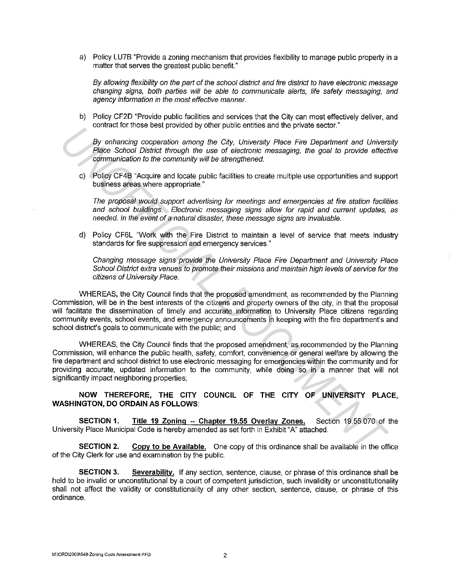a) Policy LU?B "Provide a zoning mechanism that provides flexibility to manage public property in a matter that serves the greatest public benefit."

By allowing flexibility on the part of the school district and fire district to have electronic message changing signs, both parties will be able to communicate alerts, life safety messaging, and agency information in the most effective manner.

b) Policy CF2D "Provide public facilities and services that the City can most effectively deliver, and contract for those best provided by other public entities and the private sector."

By enhancing cooperation among the City, University Place Fire Department and University Place School District through the use of electronic messaging, the goal to provide effective communication to the community will be strengthened.

c) Policy CF4B "Acquire and locate public facilities to create multiple use opportunities and support business areas where appropriate."

The proposal would support advertising for meetings and emergencies at fire station facilities and school buildings. Electronic messaging signs allow for rapid and current updates, as needed. In the event of a natural disaster, these message signs are invaluable.

d) Policy CF6L "Work with the Fire District to maintain a level of service that meets industry standards for fire suppression and emergency services."

Changing message signs provide the University Place Fire Department and University Place School District extra venues to promote their missions and maintain high levels of service for the citizens of University Place.

WHEREAS, the City Council finds that the proposed amendment, as recommended by the Planning Commission, will be in the best interests of the citizens and property owners of the city, in that the proposal will facilitate the dissemination of timely and accurate information to University Place citizens regarding community events, school events, and emergency announcements in keeping with the fire department's and school district's goals to communicate with the public; and

WHEREAS, the City Council finds that the proposed amendment, as recommended by the Planning Commission, will enhance the public health, safety, comfort, convenience or general welfare by allowing the fire department and school district to use electronic messaging for emergencies within the community and for providing accurate, updated information to the community, while doing so in a manner that will not significantly impact neighboring properties; *Uniteral to the system than the proposal amendment and University Piece Pin Department and University Piece Pin Department and University Piece School District firrough the last of electronic measaging, the goal to provid* 

### **NOW THEREFORE, THE CITY COUNCIL OF THE CITY OF UNIVERSITY PLACE, WASHINGTON, DO ORDAIN AS FOLLOWS:**

**SECTION 1. Title 19 Zoning -- Chapter 19.55 Overlay Zones.** Section 19.55.070 of the University Place Municipal Code is hereby amended as set forth in Exhibit "A" attached.

**SECTION 2. Copy to be Available.** One copy of this ordinance shall be available in the office of the City Clerk for use and examination by the public.

**SECTION 3.** Severability. If any section, sentence, clause, or phrase of this ordinance shall be held to be invalid or unconstitutional by a court of competent jurisdiction, such invalidity or unconstitutionality shall not affect the validity or constitutionality of any other section, sentence, clause, or phrase of this ordinance.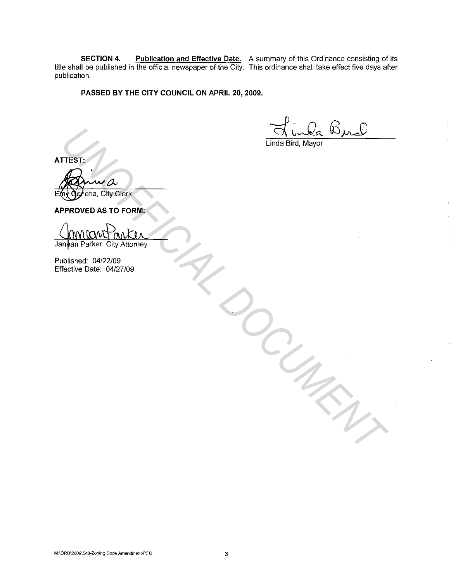**SECTION 4. Publication and Effective Date.** A summary of this Ordinance consisting of its title shall be published in the official newspaper of the City. This ordinance shall take effect five days after publication.

#### **PASSED BY THE CITY COUNCIL ON APRIL 20, 2009.**

 $B_{\mu\nu}$ 

Linda Bird, Mayor

*DOCUMENT*

**ATTEST:** 

Genetia, City Clerk **TTEST:**<br>
THEST:<br>
THE GENERIC CITY CIETK<br>
PPROVED AS TO FORM:<br>
UNION PONCIAL<br>
UNION PONCIAL<br>
UNION PONCIAL CONTRACTION<br>
THE CITY AND THE CONTRACTION<br>
THE CITY AND THE CONTRACTION<br>
THE CONTRACTION<br>
THE CONTRACTION

**APPROVED AS TO FORM:** 

Published: 04/22/09 Effective Date: 04/27/09